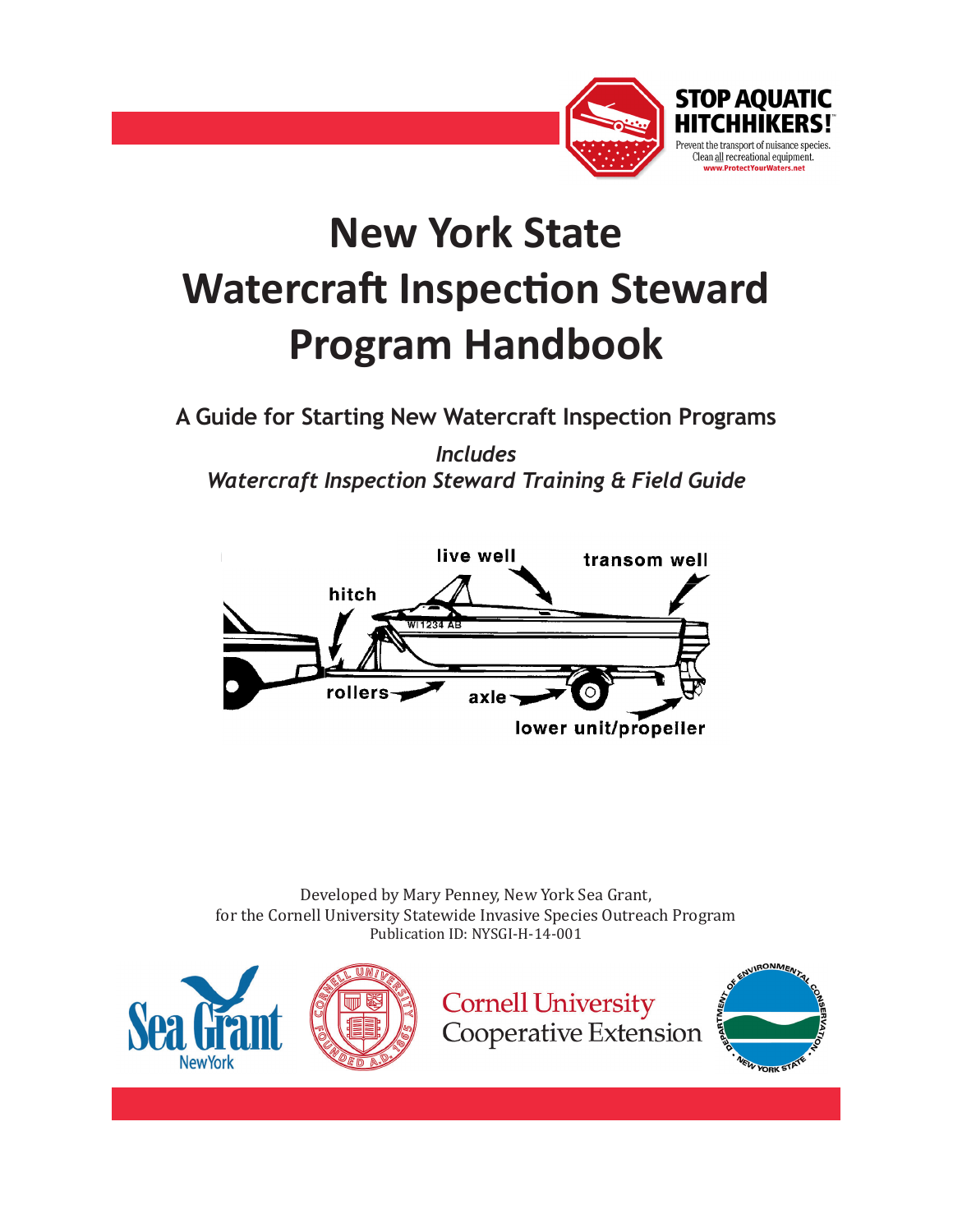

## **New York State Watercraft Inspection Steward Program Handbook**

**A Guide for Starting New Watercraft Inspection Programs**

*Includes Watercraft Inspection Steward Training & Field Guide*



Developed by Mary Penney, New York Sea Grant, for the Cornell University Statewide Invasive Species Outreach Program Publication ID: NYSGI-H-14-001

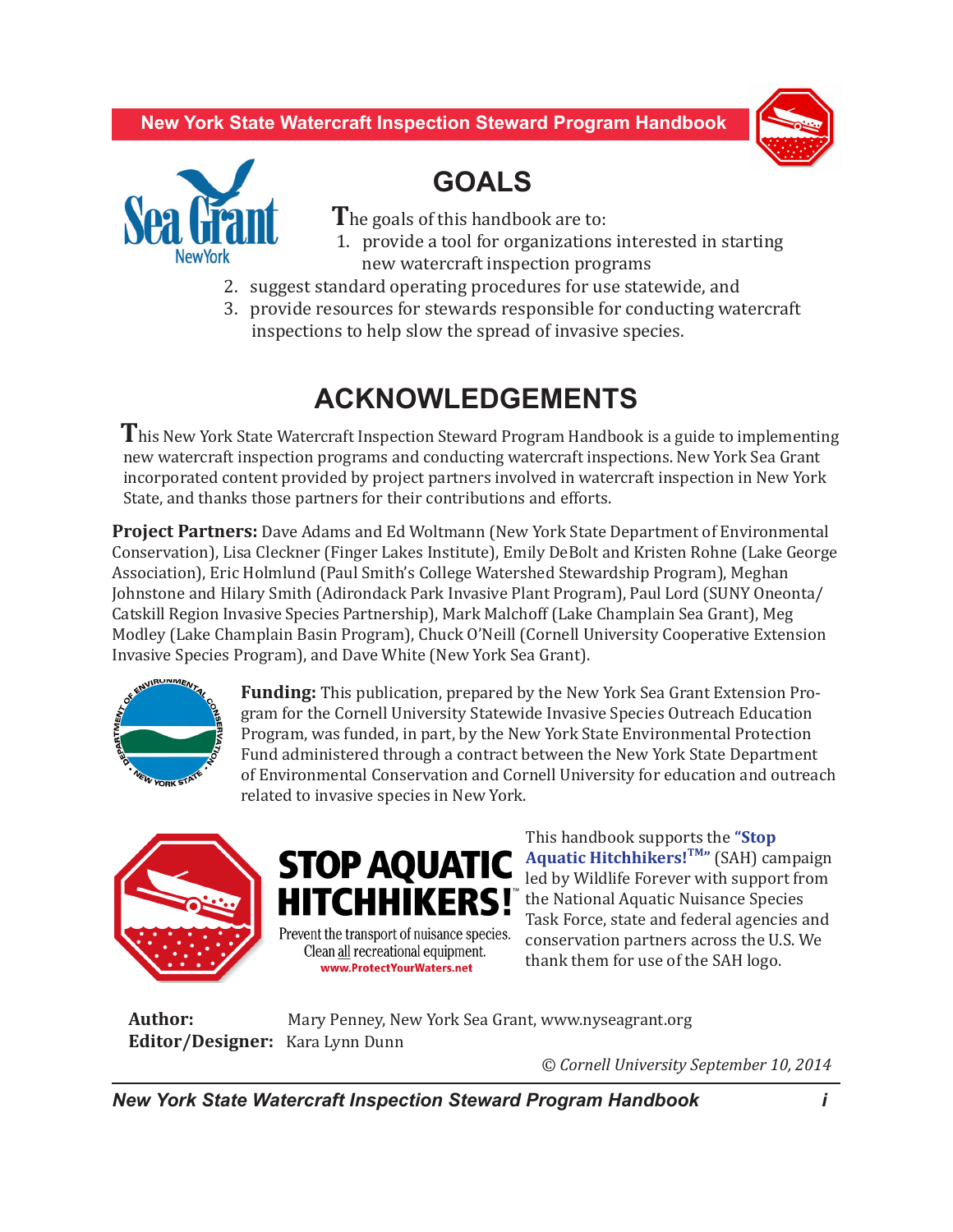**New York State Watercraft Inspection Steward Program Handbook**





 **GOALS** 

 **T**he goals of this handbook are to:

- 1. provide a tool for organizations interested in starting new watercraft inspection programs
- 2. suggest standard operating procedures for use statewide, and
- 3. provide resources for stewards responsible for conducting watercraft inspections to help slow the spread of invasive species.

## **ACKNOWLEDGEMENTS**

 **T**his New York State Watercraft Inspection Steward Program Handbook is a guide to implementing new watercraft inspection programs and conducting watercraft inspections. New York Sea Grant incorporated content provided by project partners involved in watercraft inspection in New York State, and thanks those partners for their contributions and efforts.

**Project Partners:** Dave Adams and Ed Woltmann (New York State Department of Environmental Conservation), Lisa Cleckner (Finger Lakes Institute), Emily DeBolt and Kristen Rohne (Lake George Association), Eric Holmlund (Paul Smith's College Watershed Stewardship Program), Meghan Johnstone and Hilary Smith (Adirondack Park Invasive Plant Program), Paul Lord (SUNY Oneonta/ Catskill Region Invasive Species Partnership), Mark Malchoff (Lake Champlain Sea Grant), Meg Modley (Lake Champlain Basin Program), Chuck O'Neill (Cornell University Cooperative Extension Invasive Species Program), and Dave White (New York Sea Grant).



**Funding:** This publication, prepared by the New York Sea Grant Extension Program for the Cornell University Statewide Invasive Species Outreach Education Program, was funded, in part, by the New York State Environmental Protection Fund administered through a contract between the New York State Department of Environmental Conservation and Cornell University for education and outreach related to invasive species in New York.





This handbook supports the **["Stop](http://www.protectyourwaters.net/)  [Aquatic Hitchhikers!](http://www.protectyourwaters.net/)TM"** (SAH) campaign led by Wildlife Forever with support from **HITCHHIKERS!** the National Aquatic Nuisance Species Task Force, state and federal agencies and conservation partners across the U.S. We thank them for use of the SAH logo.

**Author: Mary Penney, New York Sea Grant, www.nyseagrant.org Editor/Designer:** Kara Lynn Dunn

 *© Cornell University September 10, 2014*

*New York State Watercraft Inspection Steward Program Handbook i*